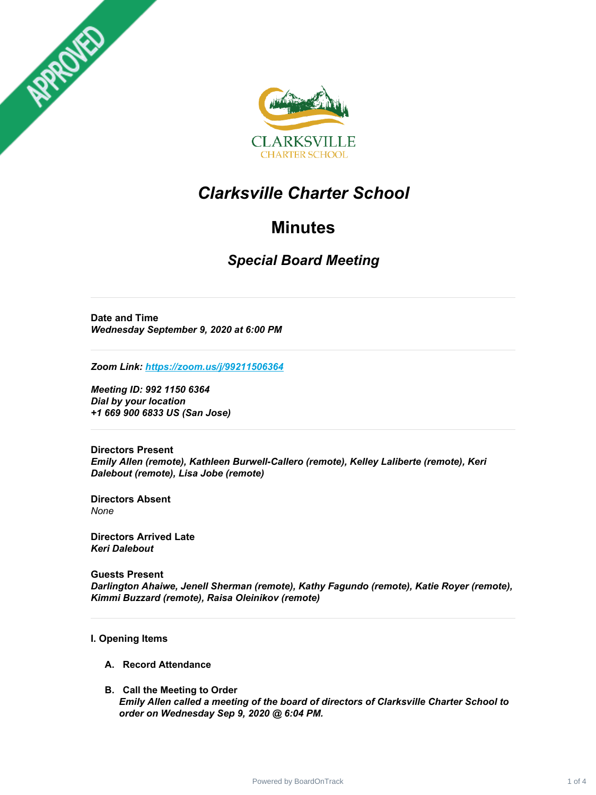



## *Clarksville Charter School*

## **Minutes**

### *Special Board Meeting*

**Date and Time** *Wednesday September 9, 2020 at 6:00 PM*

*Zoom Link: <https://zoom.us/j/99211506364>*

*Meeting ID: 992 1150 6364 Dial by your location +1 669 900 6833 US (San Jose)*

**Directors Present** *Emily Allen (remote), Kathleen Burwell-Callero (remote), Kelley Laliberte (remote), Keri Dalebout (remote), Lisa Jobe (remote)*

**Directors Absent** *None*

**Directors Arrived Late** *Keri Dalebout*

**Guests Present** *Darlington Ahaiwe, Jenell Sherman (remote), Kathy Fagundo (remote), Katie Royer (remote), Kimmi Buzzard (remote), Raisa Oleinikov (remote)*

#### **I. Opening Items**

- **A. Record Attendance**
- **B. Call the Meeting to Order** *Emily Allen called a meeting of the board of directors of Clarksville Charter School to order on Wednesday Sep 9, 2020 @ 6:04 PM.*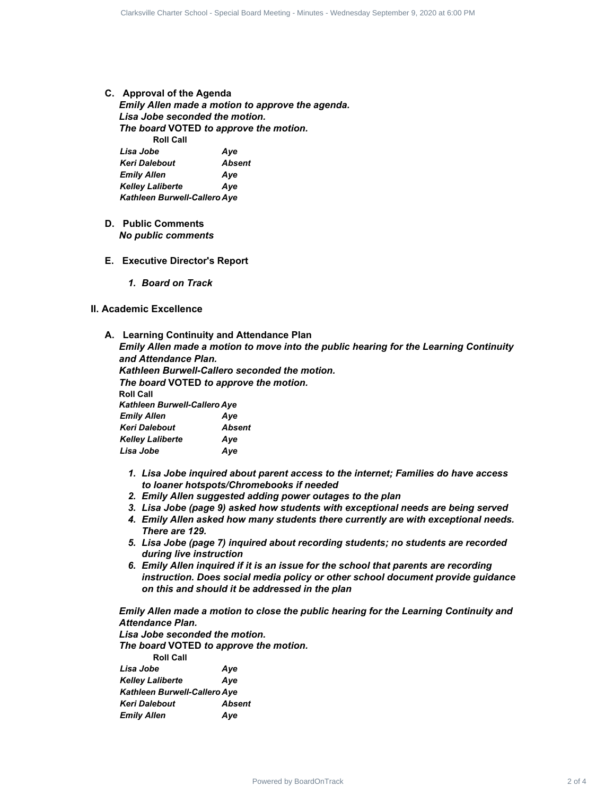**C. Approval of the Agenda**

*Emily Allen made a motion to approve the agenda. Lisa Jobe seconded the motion. The board* **VOTED** *to approve the motion.* **Roll Call** *Lisa Jobe Aye Keri Dalebout Absent Emily Allen Aye* Approval of the Agentia<br>
Line of Clarksville Charter School and the agents.<br>
Line Look accounted the modelun.<br>
The board VOTED to specie the modelun.<br>
Line Look The Charter School - All and the modelune of the species of<br>

- *Kelley Laliberte Aye Kathleen Burwell-Callero Aye*
- **D. Public Comments** *No public comments*
- **E. Executive Director's Report**
	- *1. Board on Track*

#### **II. Academic Excellence**

**A. Learning Continuity and Attendance Plan**

*Emily Allen made a motion to move into the public hearing for the Learning Continuity and Attendance Plan.*

*Kathleen Burwell-Callero seconded the motion. The board* **VOTED** *to approve the motion.* **Roll Call** *Kathleen Burwell-Callero Aye Emily Allen Aye Keri Dalebout Absent Kelley Laliberte Aye Lisa Jobe Aye*

- *1. Lisa Jobe inquired about parent access to the internet; Families do have access to loaner hotspots/Chromebooks if needed*
- *2. Emily Allen suggested adding power outages to the plan*
- *3. Lisa Jobe (page 9) asked how students with exceptional needs are being served*
- *4. Emily Allen asked how many students there currently are with exceptional needs. There are 129.*
- *5. Lisa Jobe (page 7) inquired about recording students; no students are recorded during live instruction*
- *6. Emily Allen inquired if it is an issue for the school that parents are recording instruction. Does social media policy or other school document provide guidance on this and should it be addressed in the plan*

*Emily Allen made a motion to close the public hearing for the Learning Continuity and Attendance Plan.*

*Lisa Jobe seconded the motion.*

*The board* **VOTED** *to approve the motion.*

| <b>Roll Call</b>                    |        |
|-------------------------------------|--------|
| Lisa Jobe                           | Ave    |
| <b>Kelley Laliberte</b>             | Ave    |
| <b>Kathleen Burwell-Callero Aye</b> |        |
| <b>Keri Dalebout</b>                | Absent |
| <b>Emily Allen</b>                  | Ave    |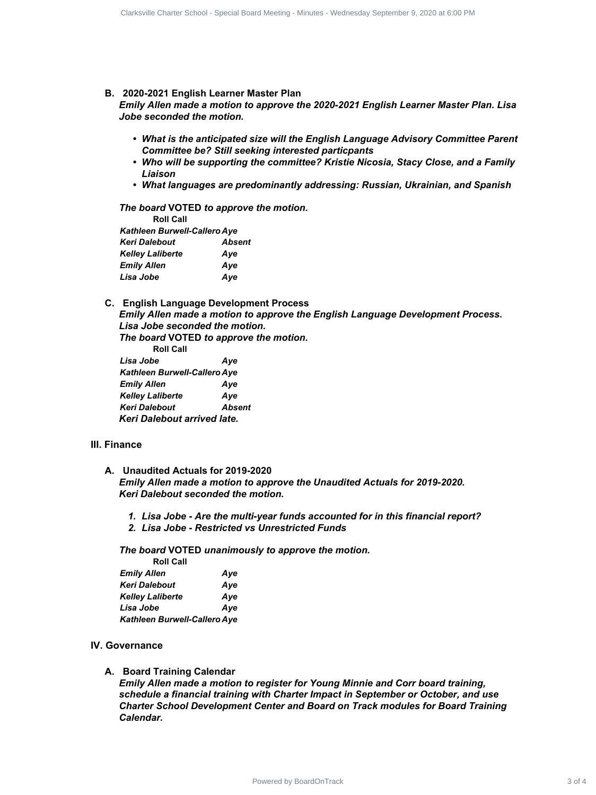**B. 2020-2021 English Learner Master Plan**

*Emily Allen made a motion to approve the 2020-2021 English Learner Master Plan. Lisa Jobe seconded the motion.*

- *What is the anticipated size will the English Language Advisory Committee Parent Committee be? Still seeking interested particpants*
- *Who will be supporting the committee? Kristie Nicosia, Stacy Close, and a Family Liaison*
- *What languages are predominantly addressing: Russian, Ukrainian, and Spanish*

*The board* **VOTED** *to approve the motion.* **Roll Call** *Kathleen Burwell-Callero Aye Keri Dalebout Absent Kelley Laliberte Aye*

*Emily Allen Aye Lisa Jobe Aye*

**C. English Language Development Process** *Emily Allen made a motion to approve the English Language Development Process. Lisa Jobe seconded the motion.*

*The board* **VOTED** *to approve the motion.*

**Roll Call** *Lisa Jobe Aye Kathleen Burwell-Callero Aye Emily Allen Aye Kelley Laliberte Aye Keri Dalebout Absent Keri Dalebout arrived late.*

#### **III. Finance**

**A. Unaudited Actuals for 2019-2020**

*Emily Allen made a motion to approve the Unaudited Actuals for 2019-2020. Keri Dalebout seconded the motion.*

- *1. Lisa Jobe Are the multi-year funds accounted for in this financial report?*
- *2. Lisa Jobe Restricted vs Unrestricted Funds*

*The board* **VOTED** *unanimously to approve the motion.*

| <b>Roll Call</b>             |     |
|------------------------------|-----|
| <b>Emily Allen</b>           | Ave |
| <b>Keri Dalebout</b>         | Ave |
| <b>Kelley Laliberte</b>      | Ave |
| Lisa Jobe                    | Ave |
| Kathleen Burwell-Callero Aye |     |

#### **IV. Governance**

#### **A. Board Training Calendar**

*Emily Allen made a motion to register for Young Minnie and Corr board training, schedule a financial training with Charter Impact in September or October, and use Charter School Development Center and Board on Track modules for Board Training Calendar.* Collection Charter School - Special Board School - Special Board School - Special Board Meeting - Special Board Meeting - Special Board Meeting - Special Board Meeting - Special Board Meeting - Special Board Charter School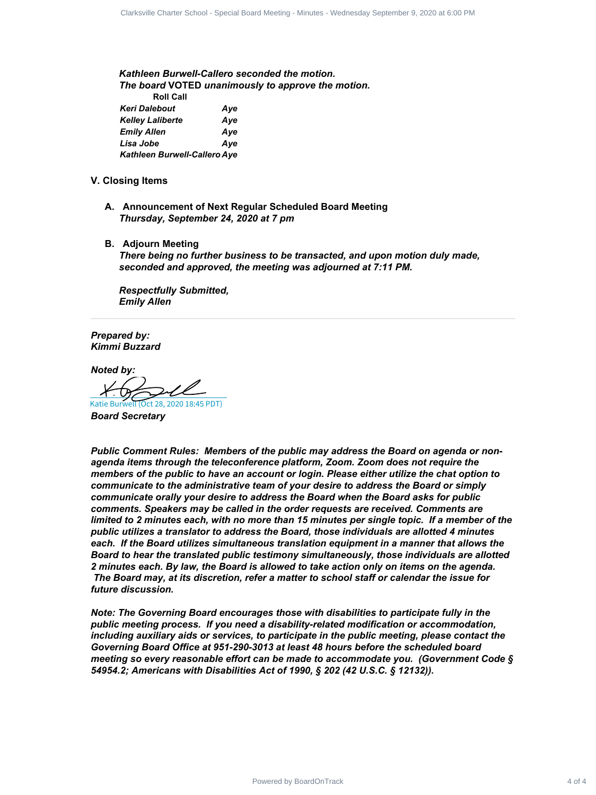*Kathleen Burwell-Callero seconded the motion. The board* **VOTED** *unanimously to approve the motion.* **Roll Call** *Keri Dalebout Aye Kelley Laliberte Aye Emily Allen Aye Lisa Jobe Aye Kathleen Burwell-Callero Aye*

- **V. Closing Items**
	- **A. Announcement of Next Regular Scheduled Board Meeting** *Thursday, September 24, 2020 at 7 pm*
	- **B. Adjourn Meeting**

*There being no further business to be transacted, and upon motion duly made, seconded and approved, the meeting was adjourned at 7:11 PM.*

*Respectfully Submitted, Emily Allen*

*Prepared by: Kimmi Buzzard*

*Noted by:*

[Katie Burwell \(Oct 28, 2020 18:45 PDT\)](https://na2.documents.adobe.com/verifier?tx=CBJCHBCAABAAR5gOPh9IxvL6W7v89N6oPbKCKgjjAepl)

*Board Secretary*

*Public Comment Rules: Members of the public may address the Board on agenda or nonagenda items through the teleconference platform, Zoom. Zoom does not require the members of the public to have an account or login. Please either utilize the chat option to communicate to the administrative team of your desire to address the Board or simply communicate orally your desire to address the Board when the Board asks for public comments. Speakers may be called in the order requests are received. Comments are* limited to 2 minutes each, with no more than 15 minutes per single topic. If a member of the *public utilizes a translator to address the Board, those individuals are allotted 4 minutes each. If the Board utilizes simultaneous translation equipment in a manner that allows the Board to hear the translated public testimony simultaneously, those individuals are allotted 2 minutes each. By law, the Board is allowed to take action only on items on the agenda. The Board may, at its discretion, refer a matter to school staff or calendar the issue for future discussion.* Collected Charter School - Special September 1 of the power of the method.<br>
Notifican Furneal Califorce accorded the method.<br>
The Constraints of Aliforce School - Special Board Meeting<br>
Note that the Charter School - Alifo

*Note: The Governing Board encourages those with disabilities to participate fully in the public meeting process. If you need a disability-related modification or accommodation, including auxiliary aids or services, to participate in the public meeting, please contact the Governing Board Office at 951-290-3013 at least 48 hours before the scheduled board meeting so every reasonable effort can be made to accommodate you. (Government Code § 54954.2; Americans with Disabilities Act of 1990, § 202 (42 U.S.C. § 12132)).*